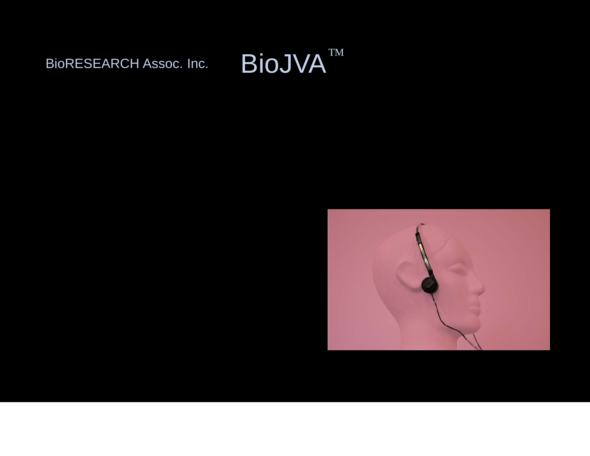



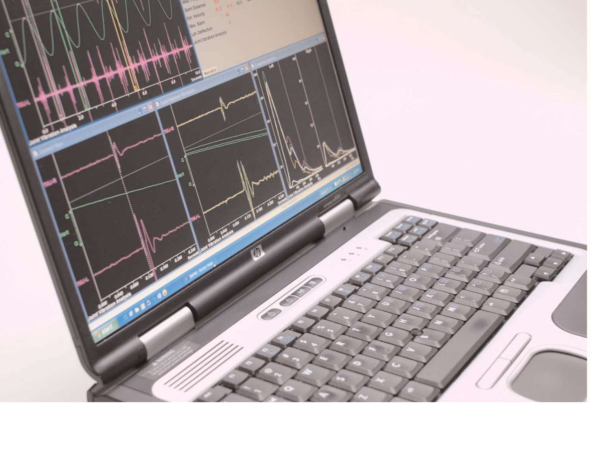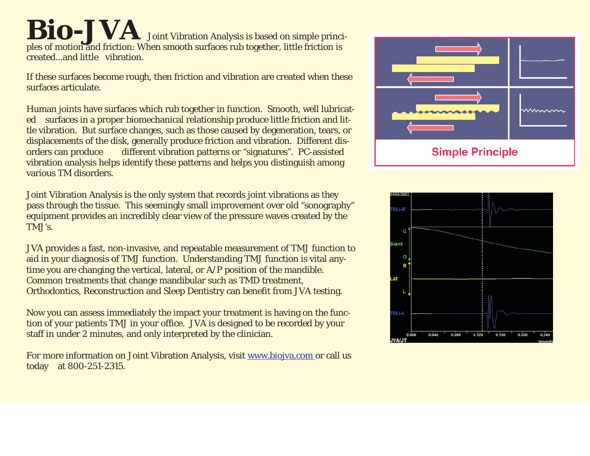## Bio-JVA Joint Vibration Analysis is based on simple principles of motion and friction: When smooth surfaces rub together, little friction is created...and little vibration.

If these surfaces become rough, then friction and vibration are created when these surfaces articulate.

Human joints have surfaces which rub together in function. Smooth, well lubricated surfaces in a proper biomechanical relationship produce little friction and little vibration. But surface changes, such as those caused by degeneration, tears, or displacements of the disk, generally produce friction and vibration. Different disorders can produce different vibration patterns or "signatures". PC-assisted vibration analysis helps identify these patterns and helps you distinguish among various TM disorders.

Joint Vibration Analysis is the only system that records joint vibrations as they pass through the tissue. This seemingly small improvement over old "sonography" equipment provides an incredibly clear view of the pressure waves created by the TMJ's.

JVA provides a fast, non-invasive, and repeatable measurement of TMJ function to aid in your diagnosis of TMJ function. Understanding TMJ function is vital anytime you are changing the vertical, lateral, or A/P position of the mandible. Common treatments that change mandibular such as TMD treatment, Orthodontics, Reconstruction and Sleep Dentistry can benefit from JVA testing.

Now you can assess immediately the impact your treatment is having on the function of your patients TMJ in your office. JVA is designed to be recorded by your staff in under 2 minutes, and only interpreted by the clinician.

For more information on Joint Vibration Analysis, visit www.biojva.com or call us today at 800-251-2315.